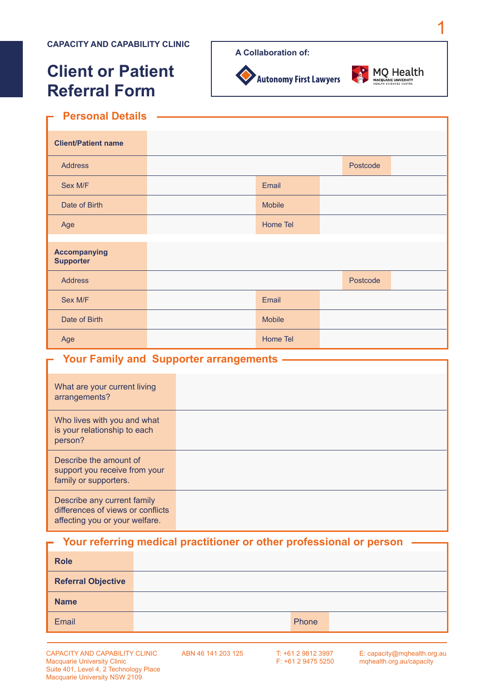# **Client or Patient Referral Form**

Autonomy First Lawyers



1

#### **Personal Details** Ē

| <b>Client/Patient name</b>              |               |          |  |
|-----------------------------------------|---------------|----------|--|
| <b>Address</b>                          |               | Postcode |  |
| Sex M/F                                 | Email         |          |  |
| Date of Birth                           | <b>Mobile</b> |          |  |
| Age                                     | Home Tel      |          |  |
| <b>Accompanying</b><br><b>Supporter</b> |               |          |  |
| <b>Address</b>                          |               | Postcode |  |
| Sex M/F                                 | Email         |          |  |
| Date of Birth                           | <b>Mobile</b> |          |  |
| Age                                     | Home Tel      |          |  |

#### **Your Family and Supporter arrangements**

| What are your current living<br>arrangements?                                                      |  |
|----------------------------------------------------------------------------------------------------|--|
| Who lives with you and what<br>is your relationship to each<br>person?                             |  |
| Describe the amount of<br>support you receive from your<br>family or supporters.                   |  |
| Describe any current family<br>differences of views or conflicts<br>affecting you or your welfare. |  |

#### **Your referring medical practitioner or other professional or person**

| <b>Role</b>               |       |  |
|---------------------------|-------|--|
| <b>Referral Objective</b> |       |  |
| <b>Name</b>               |       |  |
| Email                     | Phone |  |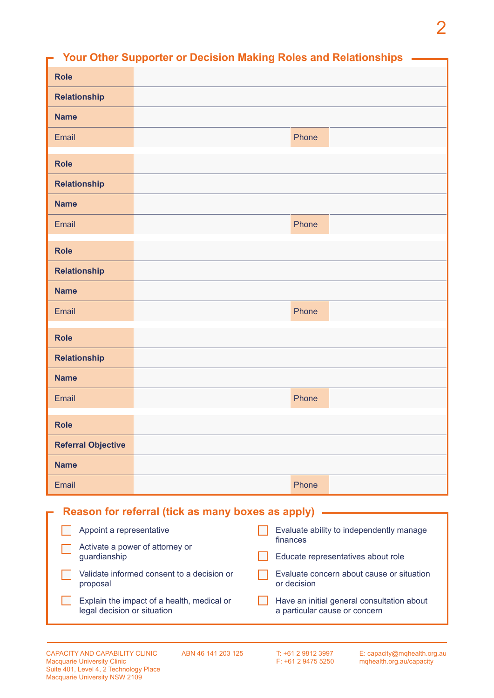# 2

|                           |                                                                                                        | <b>Your Other Supporter or Decision Making Roles and Relationships</b> |  |  |
|---------------------------|--------------------------------------------------------------------------------------------------------|------------------------------------------------------------------------|--|--|
| <b>Role</b>               |                                                                                                        |                                                                        |  |  |
| <b>Relationship</b>       |                                                                                                        |                                                                        |  |  |
| <b>Name</b>               |                                                                                                        |                                                                        |  |  |
| Email                     |                                                                                                        | Phone                                                                  |  |  |
| <b>Role</b>               |                                                                                                        |                                                                        |  |  |
| <b>Relationship</b>       |                                                                                                        |                                                                        |  |  |
| <b>Name</b>               |                                                                                                        |                                                                        |  |  |
| Email                     |                                                                                                        | Phone                                                                  |  |  |
| <b>Role</b>               |                                                                                                        |                                                                        |  |  |
| <b>Relationship</b>       |                                                                                                        |                                                                        |  |  |
| <b>Name</b>               |                                                                                                        |                                                                        |  |  |
| Email                     |                                                                                                        | Phone                                                                  |  |  |
| <b>Role</b>               |                                                                                                        |                                                                        |  |  |
| <b>Relationship</b>       |                                                                                                        |                                                                        |  |  |
| <b>Name</b>               |                                                                                                        |                                                                        |  |  |
| Email                     |                                                                                                        | Phone                                                                  |  |  |
| <b>Role</b>               |                                                                                                        |                                                                        |  |  |
| <b>Referral Objective</b> |                                                                                                        |                                                                        |  |  |
| <b>Name</b>               |                                                                                                        |                                                                        |  |  |
| Email                     |                                                                                                        | Phone                                                                  |  |  |
|                           | Reason for referral (tick as many boxes as apply)                                                      |                                                                        |  |  |
| Appoint a representative  |                                                                                                        | Evaluate ability to independently manage                               |  |  |
| guardianship              | finances<br>Activate a power of attorney or<br>Educate representatives about role                      |                                                                        |  |  |
| proposal                  | Validate informed consent to a decision or<br>Evaluate concern about cause or situation<br>or decision |                                                                        |  |  |
|                           | Explain the impact of a health, medical or                                                             | Have an initial general consultation about                             |  |  |

legal decision or situation

ABN 46 141 203 125

T: +61 2 9812 3997 F: +61 2 9475 5250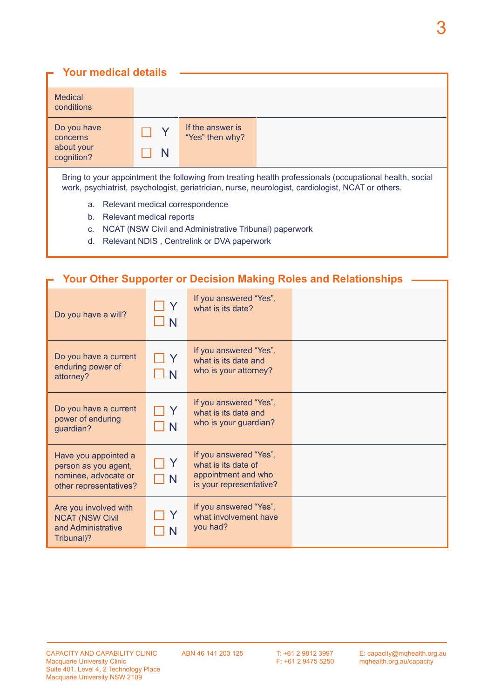| <b>Your medical details</b>                                                                                                                                                                                  |                          |                                     |  |
|--------------------------------------------------------------------------------------------------------------------------------------------------------------------------------------------------------------|--------------------------|-------------------------------------|--|
| <b>Medical</b><br>conditions                                                                                                                                                                                 |                          |                                     |  |
| Do you have<br>concerns<br>about your<br>cognition?                                                                                                                                                          | N                        | If the answer is<br>"Yes" then why? |  |
| Bring to your appointment the following from treating health professionals (occupational health, social<br>work, psychiatrist, psychologist, geriatrician, nurse, neurologist, cardiologist, NCAT or others. |                          |                                     |  |
| Relevant medical correspondence<br>a.                                                                                                                                                                        |                          |                                     |  |
| b.                                                                                                                                                                                                           | Relevant medical reports |                                     |  |

- c. NCAT (NSW Civil and Administrative Tribunal) paperwork
- d. Relevant NDIS , Centrelink or DVA paperwork

## **Your Other Supporter or Decision Making Roles and Relationships**

| Do you have a will?                                                                            | $\mathbf N$ | If you answered "Yes",<br>what is its date?                                                     |  |
|------------------------------------------------------------------------------------------------|-------------|-------------------------------------------------------------------------------------------------|--|
| Do you have a current<br>enduring power of<br>attorney?                                        | TY.<br>_l N | If you answered "Yes",<br>what is its date and<br>who is your attorney?                         |  |
| Do you have a current<br>power of enduring<br>guardian?                                        | $\mathbb N$ | If you answered "Yes",<br>what is its date and<br>who is your guardian?                         |  |
| Have you appointed a<br>person as you agent,<br>nominee, advocate or<br>other representatives? | $\Box$ N    | If you answered "Yes",<br>what is its date of<br>appointment and who<br>is your representative? |  |
| Are you involved with<br><b>NCAT (NSW Civil</b><br>and Administrative<br>Tribunal)?            |             | If you answered "Yes",<br>what involvement have<br>you had?                                     |  |

Н